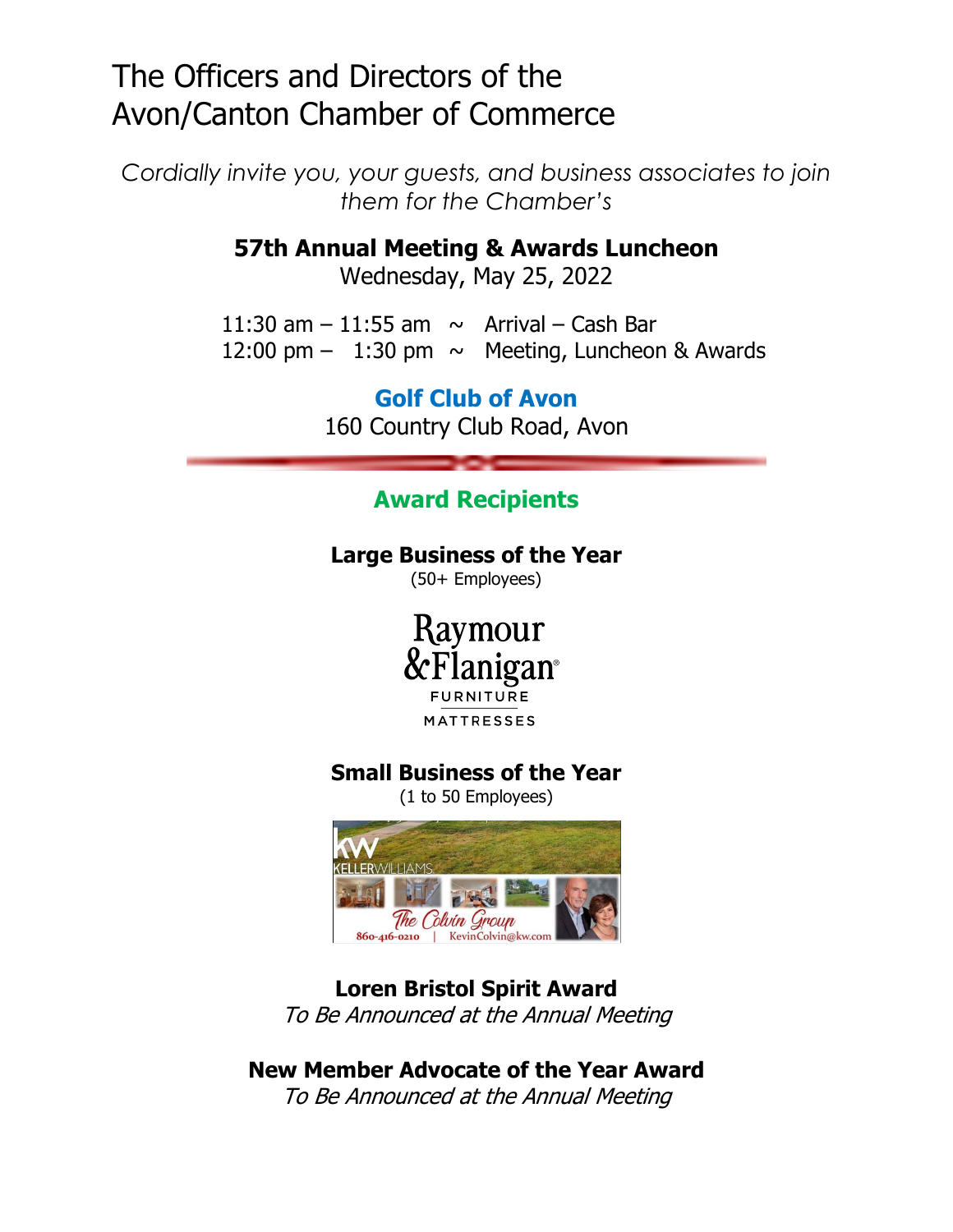# The Officers and Directors of the Avon/Canton Chamber of Commerce

*Cordially invite you, your guests, and business associates to join them for the Chamber's* 

**57th Annual Meeting & Awards Luncheon** 

Wednesday, May 25, 2022

11:30 am  $-$  11:55 am  $\sim$  Arrival – Cash Bar 12:00 pm  $-$  1:30 pm  $\sim$  Meeting, Luncheon & Awards

> **Golf Club of Avon**  160 Country Club Road, Avon

## **Award Recipients**

#### **Large Business of the Year**

(50+ Employees)

Raymour nigan **FURNITURE** 

**MATTRESSES** 

#### **Small Business of the Year**

(1 to 50 Employees)



### **Loren Bristol Spirit Award**

To Be Announced at the Annual Meeting

## **New Member Advocate of the Year Award**

To Be Announced at the Annual Meeting